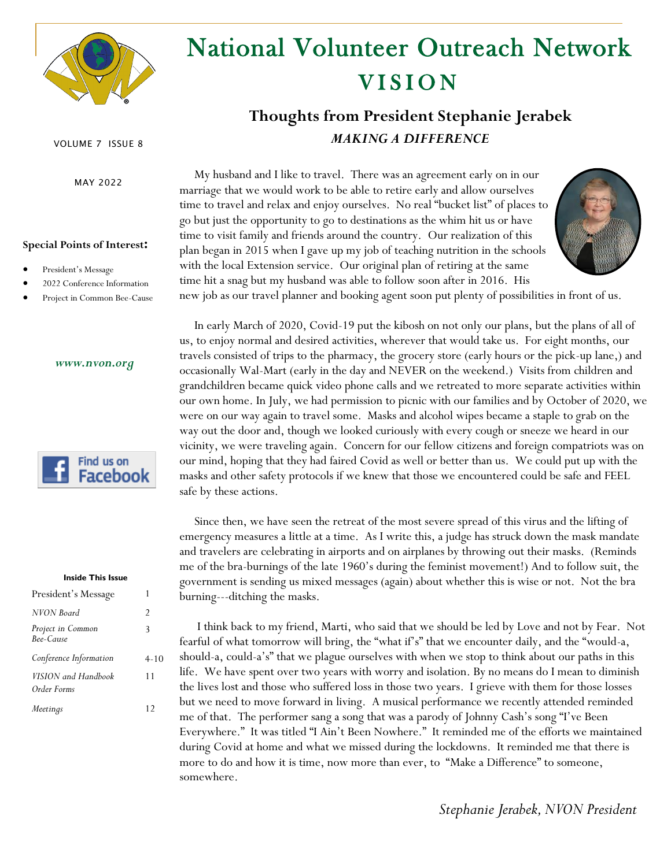

# **VISION** National Volunteer Outreach Network

# **Thoughts from President Stephanie Jerabek** *MAKING A DIFFERENCE*

 My husband and I like to travel. There was an agreement early on in our marriage that we would work to be able to retire early and allow ourselves time to travel and relax and enjoy ourselves. No real "bucket list" of places to go but just the opportunity to go to destinations as the whim hit us or have time to visit family and friends around the country. Our realization of this plan began in 2015 when I gave up my job of teaching nutrition in the schools with the local Extension service. Our original plan of retiring at the same time hit a snag but my husband was able to follow soon after in 2016. His



new job as our travel planner and booking agent soon put plenty of possibilities in front of us.

 In early March of 2020, Covid-19 put the kibosh on not only our plans, but the plans of all of us, to enjoy normal and desired activities, wherever that would take us. For eight months, our travels consisted of trips to the pharmacy, the grocery store (early hours or the pick-up lane,) and occasionally Wal-Mart (early in the day and NEVER on the weekend.) Visits from children and grandchildren became quick video phone calls and we retreated to more separate activities within our own home. In July, we had permission to picnic with our families and by October of 2020, we were on our way again to travel some. Masks and alcohol wipes became a staple to grab on the way out the door and, though we looked curiously with every cough or sneeze we heard in our vicinity, we were traveling again. Concern for our fellow citizens and foreign compatriots was on our mind, hoping that they had faired Covid as well or better than us. We could put up with the masks and other safety protocols if we knew that those we encountered could be safe and FEEL safe by these actions.

 Since then, we have seen the retreat of the most severe spread of this virus and the lifting of emergency measures a little at a time. As I write this, a judge has struck down the mask mandate and travelers are celebrating in airports and on airplanes by throwing out their masks. (Reminds me of the bra-burnings of the late 1960's during the feminist movement!) And to follow suit, the government is sending us mixed messages (again) about whether this is wise or not. Not the bra burning---ditching the masks.

 I think back to my friend, Marti, who said that we should be led by Love and not by Fear. Not fearful of what tomorrow will bring, the "what if's" that we encounter daily, and the "would-a, should-a, could-a's" that we plague ourselves with when we stop to think about our paths in this life. We have spent over two years with worry and isolation. By no means do I mean to diminish the lives lost and those who suffered loss in those two years. I grieve with them for those losses but we need to move forward in living. A musical performance we recently attended reminded me of that. The performer sang a song that was a parody of Johnny Cash's song "I've Been Everywhere." It was titled "I Ain't Been Nowhere." It reminded me of the efforts we maintained during Covid at home and what we missed during the lockdowns. It reminded me that there is more to do and how it is time, now more than ever, to "Make a Difference" to someone, somewhere.

#### VOLUME 7 ISSUE 8

MAY 2022

#### **Special Points of Interest:**

- President's Message
- 2022 Conference Information
- Project in Common Bee-Cause

#### *www.nvon.org*



#### **Inside This Issue**

| President's Message                |          |
|------------------------------------|----------|
| NVON Board                         | 2        |
| Project in Common<br>Bee-Cause     | 3        |
| Conference Information             | $4 - 10$ |
| VISION and Handbook<br>Order Forms | 11       |
| Meetings                           | 12       |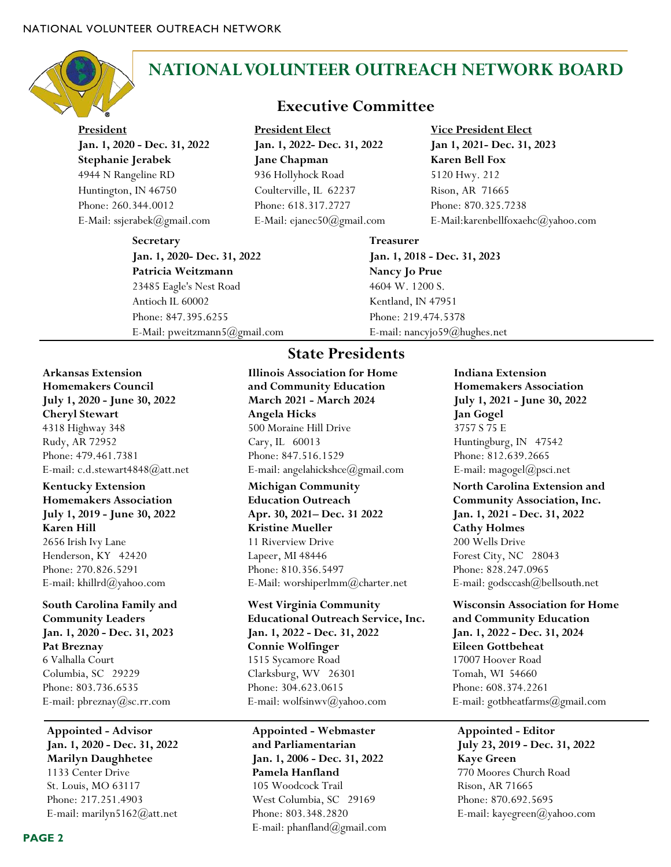

# **NATIONAL VOLUNTEER OUTREACH NETWORK BOARD**

**President Jan. 1, 2020 - Dec. 31, 2022 Stephanie Jerabek**  4944 N Rangeline RD Huntington, IN 46750 Phone: 260.344.0012 E-Mail: ssjerabek@gmail.com

> **Secretary Jan. 1, 2020- Dec. 31, 2022 Patricia Weitzmann** 23485 Eagle's Nest Road Antioch IL 60002 Phone: 847.395.6255 E-Mail: [pweitzmann5@gmail.com](mailto:pweitzmann5@gmail.com)

### **Executive Committee**

**President Elect Jan. 1, 2022- Dec. 31, 2022 Jane Chapman** 936 Hollyhock Road Coulterville, IL 62237 Phone: [618.317.2727](tel:618-317-2727) E-Mail: ejanec50@gmail.com **Vice President Elect Jan 1, 2021- Dec. 31, 2023 Karen Bell Fox** 5120 Hwy. 212 Rison, AR 71665 Phone: 870.325.7238 E-Mail:karenbellfoxaehc@yahoo.com

**Treasurer Jan. 1, 2018 - Dec. 31, 2023 Nancy Jo Prue** 4604 W. 1200 S. Kentland, IN 47951 Phone: 219.474.5378 E-mail: nancyjo59@hughes.net

### **Arkansas Extension Homemakers Council July 1, 2020 - June 30, 2022 Cheryl Stewart** 4318 Highway 348

Rudy, AR 72952 Phone: 479.461.7381 E-mail: c.d.stewart4848@att.net

### **Kentucky Extension Homemakers Association July 1, 2019 - June 30, 2022 Karen Hill** 2656 Irish Ivy Lane Henderson, KY 42420 Phone: 270.826.5291 E-mail: khillrd@yahoo.com

**South Carolina Family and Community Leaders Jan. 1, 2020 - Dec. 31, 2023 Pat Breznay** 6 Valhalla Court Columbia, SC 29229 Phone: 803.736.6535 E-mail: pbreznay@sc.rr.com

**Appointed - Advisor Jan. 1, 2020 - Dec. 31, 2022 Marilyn Daughhetee** 1133 Center Drive St. Louis, MO 63117 Phone: [217.251.4903](https://hangouts.google.com/?action=chat&pn=%2B12172514903&hl=en&authuser=0) E-mail: marilyn5162@att.net

### **State Presidents**

**Illinois Association for Home and Community Education March 2021 - March 2024 Angela Hicks** 500 Moraine Hill Drive Cary, IL 60013 Phone: 847.516.1529 E-mail: angelahickshce@gmail.com

### **Michigan Community Education Outreach Apr. 30, 2021– Dec. 31 2022 Kristine Mueller** 11 Riverview Drive Lapeer, MI 48446 Phone: 810.356.5497 E-Mail: worshiperlmm@charter.net

**West Virginia Community Educational Outreach Service, Inc. Jan. 1, 2022 - Dec. 31, 2022 Connie Wolfinger** 1515 Sycamore Road Clarksburg, WV 26301 Phone: 304.623.0615 E-mail: wolfsinwv@yahoo.com

**Appointed - Webmaster and Parliamentarian Jan. 1, 2006 - Dec. 31, 2022 Pamela Hanfland** 105 Woodcock Trail West Columbia, SC 29169 Phone: 803.348.2820 E-mail: phanfland@gmail.com **Indiana Extension Homemakers Association July 1, 2021 - June 30, 2022 Jan Gogel** 3757 S 75 E Huntingburg, IN 47542 Phone: 812.639.2665 E-mail: magogel@psci.net

**North Carolina Extension and Community Association, Inc. Jan. 1, 2021 - Dec. 31, 2022 Cathy Holmes** 200 Wells Drive Forest City, NC 28043 Phone: 828.247.0965 E-mail: godsccash@bellsouth.net

**Wisconsin Association for Home and Community Education Jan. 1, 2022 - Dec. 31, 2024 Eileen Gottbeheat** 17007 Hoover Road Tomah, WI 54660 Phone: 608.374.2261 E-mail: gotbheatfarms@gmail.com

**Appointed - Editor July 23, 2019 - Dec. 31, 2022 Kaye Green** 770 Moores Church Road Rison, AR 71665 Phone: 870.692.5695 E-mail: kayegreen@yahoo.com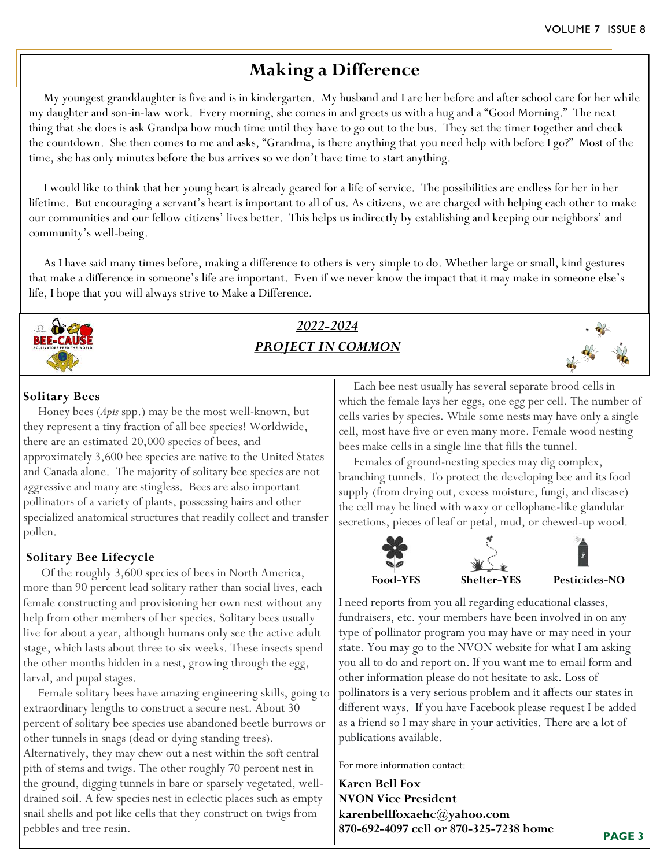# **Making a Difference**

 My youngest granddaughter is five and is in kindergarten. My husband and I are her before and after school care for her while my daughter and son-in-law work. Every morning, she comes in and greets us with a hug and a "Good Morning." The next thing that she does is ask Grandpa how much time until they have to go out to the bus. They set the timer together and check the countdown. She then comes to me and asks, "Grandma, is there anything that you need help with before I go?" Most of the time, she has only minutes before the bus arrives so we don't have time to start anything.

 I would like to think that her young heart is already geared for a life of service. The possibilities are endless for her in her lifetime. But encouraging a servant's heart is important to all of us. As citizens, we are charged with helping each other to make our communities and our fellow citizens' lives better. This helps us indirectly by establishing and keeping our neighbors' and community's well-being.

 As I have said many times before, making a difference to others is very simple to do. Whether large or small, kind gestures that make a difference in someone's life are important. Even if we never know the impact that it may make in someone else's life, I hope that you will always strive to Make a Difference.



# *2022-2024 PROJECT IN COMMON*



### **Solitary Bees**

 Honey bees (*Apis* spp.) may be the most well-known, but they represent a tiny fraction of all bee species! Worldwide, there are an estimated 20,000 species of bees, and approximately 3,600 bee species are native to the United States and Canada alone. The majority of solitary bee species are not aggressive and many are stingless. Bees are also important pollinators of a variety of plants, possessing hairs and other specialized anatomical structures that readily collect and transfer pollen.

### **Solitary Bee Lifecycle**

 Of the roughly 3,600 species of bees in North America, more than 90 percent lead solitary rather than social lives, each female constructing and provisioning her own nest without any help from other members of her species. Solitary bees usually live for about a year, although humans only see the active adult stage, which lasts about three to six weeks. These insects spend the other months hidden in a nest, growing through the egg, larval, and pupal stages.

 Female solitary bees have amazing engineering skills, going to extraordinary lengths to construct a secure nest. About 30 percent of solitary bee species use abandoned beetle burrows or other tunnels in snags (dead or dying standing trees). Alternatively, they may chew out a nest within the soft central pith of stems and twigs. The other roughly 70 percent nest in the ground, digging tunnels in bare or sparsely vegetated, welldrained soil. A few species nest in eclectic places such as empty snail shells and pot like cells that they construct on twigs from pebbles and tree resin.

 Each bee nest usually has several separate brood cells in which the female lays her eggs, one egg per cell. The number of cells varies by species. While some nests may have only a single cell, most have five or even many more. Female wood nesting bees make cells in a single line that fills the tunnel.

 Females of ground-nesting species may dig complex, branching tunnels. To protect the developing bee and its food supply (from drying out, excess moisture, fungi, and disease) the cell may be lined with waxy or cellophane-like glandular secretions, pieces of leaf or petal, mud, or chewed-up wood.



I need reports from you all regarding educational classes, fundraisers, etc. your members have been involved in on any type of pollinator program you may have or may need in your state. You may go to the NVON website for what I am asking you all to do and report on. If you want me to email form and other information please do not hesitate to ask. Loss of pollinators is a very serious problem and it affects our states in different ways. If you have Facebook please request I be added as a friend so I may share in your activities. There are a lot of publications available.

For more information contact:

**Karen Bell Fox NVON Vice President karenbellfoxaehc@yahoo.com 870-692-4097 cell or 870-325-7238 home** 

**PAGE 3**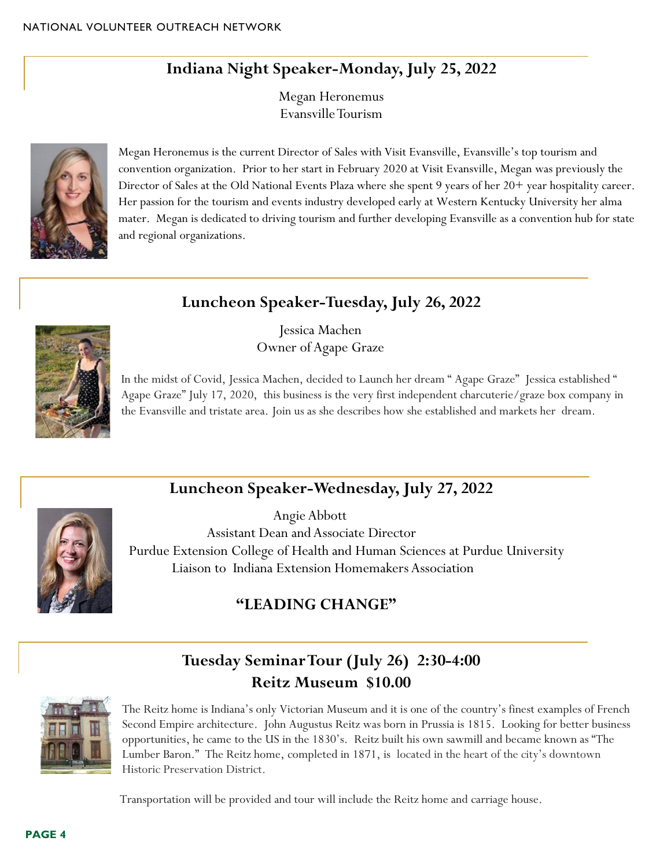# **Indiana Night Speaker-Monday, July 25, 2022**

Megan Heronemus Evansville Tourism



Megan Heronemus is the current Director of Sales with Visit Evansville, Evansville's top tourism and convention organization. Prior to her start in February 2020 at Visit Evansville, Megan was previously the Director of Sales at the Old National Events Plaza where she spent 9 years of her 20+ year hospitality career. Her passion for the tourism and events industry developed early at Western Kentucky University her alma mater. Megan is dedicated to driving tourism and further developing Evansville as a convention hub for state and regional organizations.

# **Luncheon Speaker-Tuesday, July 26, 2022**



Jessica Machen Owner of Agape Graze

In the midst of Covid, Jessica Machen, decided to Launch her dream " Agape Graze" Jessica established " Agape Graze" July 17, 2020, this business is the very first independent charcuterie/graze box company in the Evansville and tristate area. Join us as she describes how she established and markets her dream.

# **Luncheon Speaker-Wednesday, July 27, 2022**



Angie Abbott Assistant Dean and Associate Director Purdue Extension College of Health and Human Sciences at Purdue University Liaison to Indiana Extension Homemakers Association

# **"LEADING CHANGE"**



**Tuesday Seminar Tour (July 26) 2:30-4:00 Reitz Museum \$10.00**

The Reitz home is Indiana's only Victorian Museum and it is one of the country's finest examples of French Second Empire architecture. John Augustus Reitz was born in Prussia is 1815. Looking for better business opportunities, he came to the US in the 1830's. Reitz built his own sawmill and became known as "The Lumber Baron." The Reitz home, completed in 1871, is located in the heart of the city's downtown Historic Preservation District.

Transportation will be provided and tour will include the Reitz home and carriage house.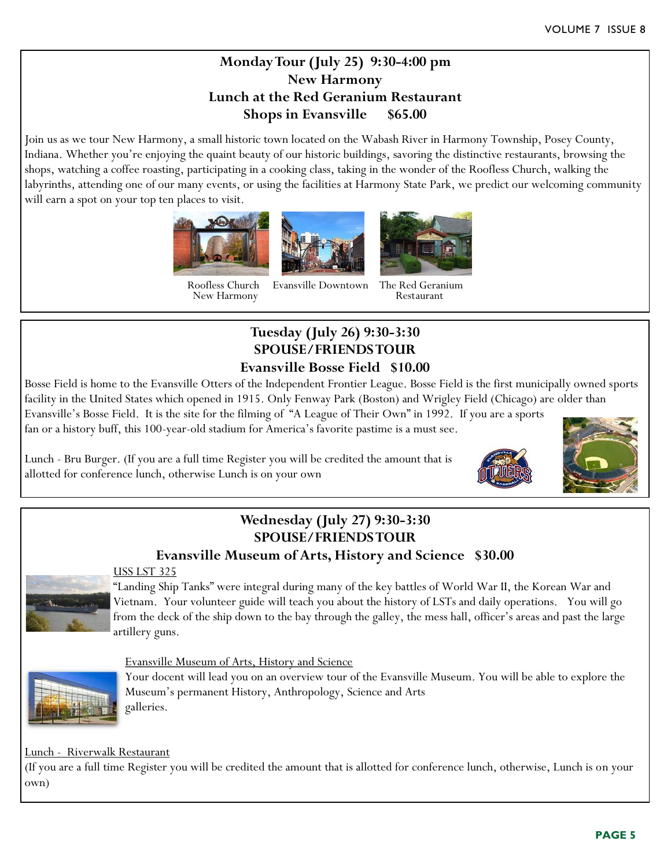### **Monday Tour (July 25) 9:30-4:00 pm New Harmony Lunch at the Red Geranium Restaurant Shops in Evansville \$65.00**

Join us as we tour New Harmony, a small historic town located on the Wabash River in Harmony Township, Posey County, Indiana. Whether you're enjoying the quaint beauty of our historic buildings, savoring the distinctive restaurants, browsing the shops, watching a coffee roasting, participating in a cooking class, taking in the wonder of the Roofless Church, walking the labyrinths, attending one of our many events, or using the facilities at Harmony State Park, we predict our welcoming community will earn a spot on your top ten places to visit.



 Roofless Church Evansville Downtown The Red Geranium New Harmony

### **Tuesday (July 26) 9:30-3:30 SPOUSE/FRIENDS TOUR Evansville Bosse Field \$10.00**

Bosse Field is home to the Evansville Otters of the Independent Frontier League. Bosse Field is the first municipally owned sports facility in the United States which opened in 1915. Only Fenway Park (Boston) and Wrigley Field (Chicago) are older than

Evansville's Bosse Field. It is the site for the filming of "A League of Their Own" in 1992. If you are a sports fan or a history buff, this 100-year-old stadium for America's favorite pastime is a must see.

Lunch - Bru Burger. (If you are a full time Register you will be credited the amount that is allotted for conference lunch, otherwise Lunch is on your own





### **Wednesday (July 27) 9:30-3:30 SPOUSE/FRIENDS TOUR**

### **Evansville Museum of Arts, History and Science \$30.00**

### USS LST 325

"Landing Ship Tanks" were integral during many of the key battles of World War II, the Korean War and Vietnam. Your volunteer guide will teach you about the history of LSTs and daily operations. You will go from the deck of the ship down to the bay through the galley, the mess hall, officer's areas and past the large artillery guns.

### Evansville Museum of Arts, History and Science



Your docent will lead you on an overview tour of the Evansville Museum. You will be able to explore the Museum's permanent History, Anthropology, Science and Arts galleries.

Lunch - Riverwalk Restaurant

(If you are a full time Register you will be credited the amount that is allotted for conference lunch, otherwise, Lunch is on your own)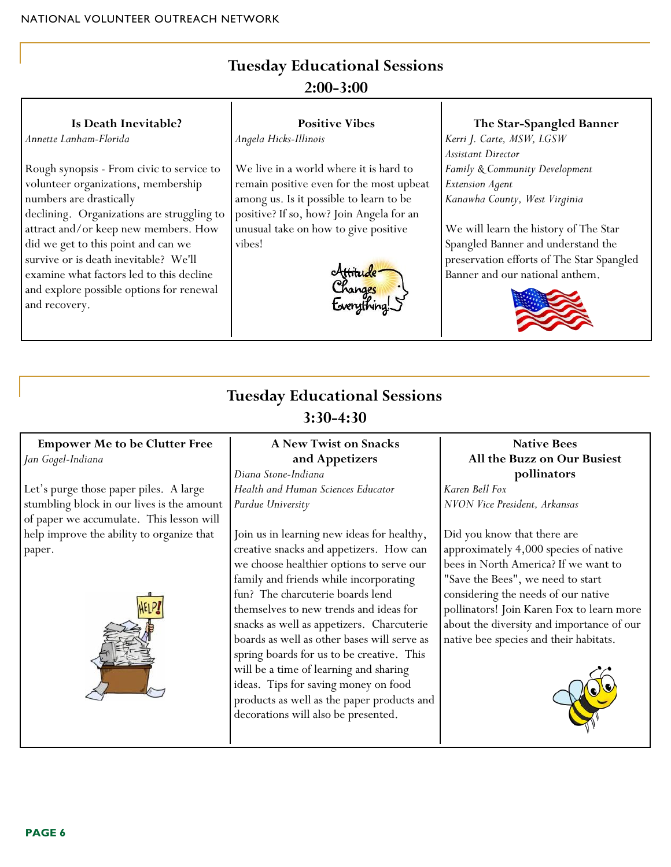# **Tuesday Educational Sessions 2:00-3:00**

| Is Death Inevitable?                                                                                                     | <b>Positive Vibes</b>                                                               | The Star-Spangled Banner                                                                                           |
|--------------------------------------------------------------------------------------------------------------------------|-------------------------------------------------------------------------------------|--------------------------------------------------------------------------------------------------------------------|
| Annette Lanham-Florida                                                                                                   | Angela Hicks-Illinois                                                               | Kerri J. Carte, MSW, LGSW                                                                                          |
| Rough synopsis - From civic to service to                                                                                | We live in a world where it is hard to                                              | Assistant Director<br>Family & Community Development                                                               |
| volunteer organizations, membership<br>numbers are drastically                                                           | remain positive even for the most upbeat<br>among us. Is it possible to learn to be | Extension Agent<br>Kanawha County, West Virginia                                                                   |
| declining. Organizations are struggling to<br>attract and/or keep new members. How                                       | positive? If so, how? Join Angela for an<br>unusual take on how to give positive    | We will learn the history of The Star                                                                              |
| did we get to this point and can we<br>survive or is death inevitable? We'll<br>examine what factors led to this decline | vibes!                                                                              | Spangled Banner and understand the<br>preservation efforts of The Star Spangled<br>Banner and our national anthem. |
| and explore possible options for renewal<br>and recovery.                                                                | hanges                                                                              |                                                                                                                    |

# **Tuesday Educational Sessions 3:30-4:30**

### **Empower Me to be Clutter Free** *Jan Gogel-Indiana*

Let's purge those paper piles. A large stumbling block in our lives is the amount of paper we accumulate. This lesson will help improve the ability to organize that paper.



### **A New Twist on Snacks and Appetizers**

*Diana Stone-Indiana Health and Human Sciences Educator Purdue University*

Join us in learning new ideas for healthy, creative snacks and appetizers. How can we choose healthier options to serve our family and friends while incorporating fun? The charcuterie boards lend themselves to new trends and ideas for snacks as well as appetizers. Charcuterie boards as well as other bases will serve as spring boards for us to be creative. This will be a time of learning and sharing ideas. Tips for saving money on food products as well as the paper products and decorations will also be presented.

### **Native Bees All the Buzz on Our Busiest pollinators** *Karen Bell Fox*

*NVON Vice President, Arkansas* 

Did you know that there are approximately 4,000 species of native bees in North America? If we want to "Save the Bees", we need to start considering the needs of our native pollinators! Join Karen Fox to learn more about the diversity and importance of our native bee species and their habitats.

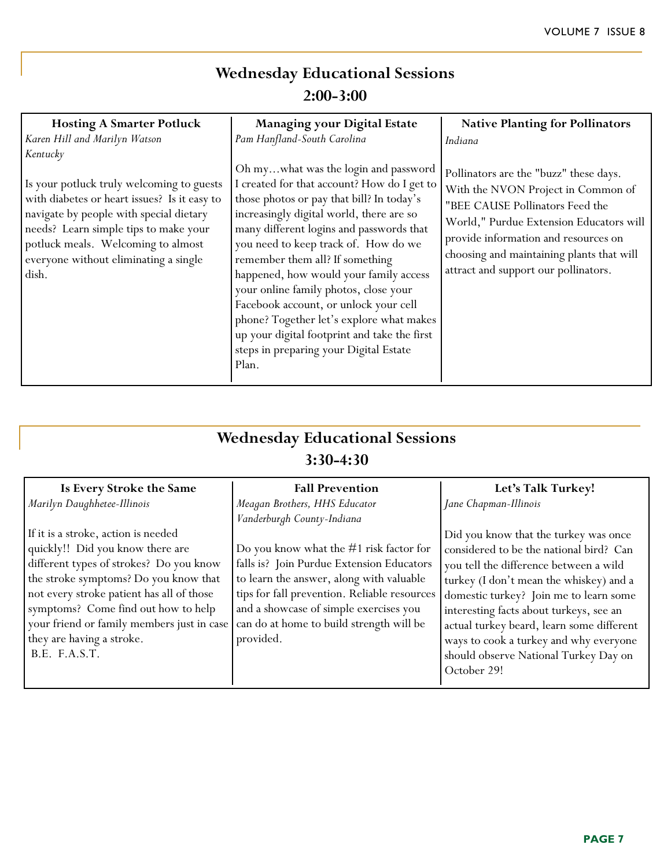# **Wednesday Educational Sessions 2:00-3:00**

| <b>Hosting A Smarter Potluck</b>                                                                                                                                                                                                                                                  | <b>Managing your Digital Estate</b>                                                                                                                                                                                                                                                                                                                                                                                                                                                                                                                                            | <b>Native Planting for Pollinators</b>                                                                                                                                                                                                                                                  |
|-----------------------------------------------------------------------------------------------------------------------------------------------------------------------------------------------------------------------------------------------------------------------------------|--------------------------------------------------------------------------------------------------------------------------------------------------------------------------------------------------------------------------------------------------------------------------------------------------------------------------------------------------------------------------------------------------------------------------------------------------------------------------------------------------------------------------------------------------------------------------------|-----------------------------------------------------------------------------------------------------------------------------------------------------------------------------------------------------------------------------------------------------------------------------------------|
| Karen Hill and Marilyn Watson                                                                                                                                                                                                                                                     | Pam Hanfland-South Carolina                                                                                                                                                                                                                                                                                                                                                                                                                                                                                                                                                    | Indiana                                                                                                                                                                                                                                                                                 |
| Kentucky<br>Is your potluck truly welcoming to guests<br>with diabetes or heart issues? Is it easy to<br>navigate by people with special dietary<br>needs? Learn simple tips to make your<br>potluck meals. Welcoming to almost<br>everyone without eliminating a single<br>dish. | Oh mywhat was the login and password<br>I created for that account? How do I get to<br>those photos or pay that bill? In today's<br>increasingly digital world, there are so<br>many different logins and passwords that<br>you need to keep track of. How do we<br>remember them all? If something<br>happened, how would your family access<br>your online family photos, close your<br>Facebook account, or unlock your cell<br>phone? Together let's explore what makes<br>up your digital footprint and take the first<br>steps in preparing your Digital Estate<br>Plan. | Pollinators are the "buzz" these days.<br>With the NVON Project in Common of<br>"BEE CAUSE Pollinators Feed the<br>World," Purdue Extension Educators will<br>provide information and resources on<br>choosing and maintaining plants that will<br>attract and support our pollinators. |

# **Wednesday Educational Sessions 3:30-4:30**

| Is Every Stroke the Same                   | <b>Fall Prevention</b>                       | Let's Talk Turkey!                        |
|--------------------------------------------|----------------------------------------------|-------------------------------------------|
| Marilyn Daughhetee-Illinois                | Meagan Brothers, HHS Educator                | Jane Chapman-Illinois                     |
|                                            | Vanderburgh County-Indiana                   |                                           |
| If it is a stroke, action is needed        |                                              | Did you know that the turkey was once     |
| quickly!! Did you know there are           | Do you know what the $#1$ risk factor for    | considered to be the national bird? Can   |
| different types of strokes? Do you know    | falls is? Join Purdue Extension Educators    | you tell the difference between a wild    |
| the stroke symptoms? Do you know that      | to learn the answer, along with valuable     | turkey (I don't mean the whiskey) and a   |
| not every stroke patient has all of those  | tips for fall prevention. Reliable resources | domestic turkey? Join me to learn some    |
| symptoms? Come find out how to help        | and a showcase of simple exercises you       | interesting facts about turkeys, see an   |
| your friend or family members just in case | can do at home to build strength will be     | actual turkey beard, learn some different |
| they are having a stroke.                  | provided.                                    | ways to cook a turkey and why everyone    |
| B.E. F.A.S.T.                              |                                              | should observe National Turkey Day on     |
|                                            |                                              | October 29!                               |
|                                            |                                              |                                           |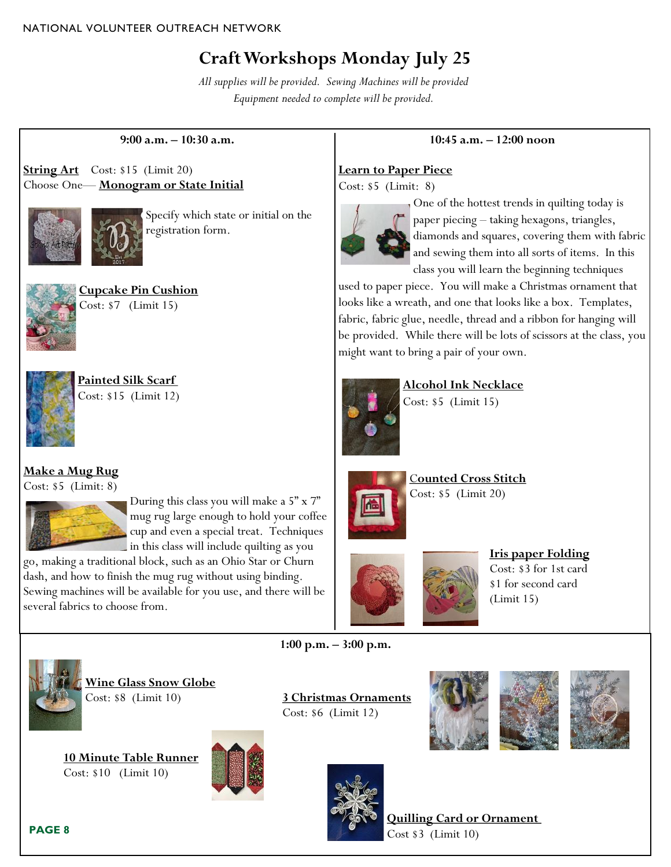# **Craft Workshops Monday July 25**

*All supplies will be provided. Sewing Machines will be provided Equipment needed to complete will be provided.*

#### **9:00 a.m. – 10:30 a.m.**

**String Art** Cost: \$15 (Limit 20) Choose One— **Monogram or State Initial** 



Specify which state or initial on the registration form.



**Cupcake Pin Cushion**  Cost: \$7 (Limit 15)



**Painted Silk Scarf** Cost: \$15 (Limit 12)

### **Make a Mug Rug**

Cost: \$5 (Limit: 8)



During this class you will make a 5" x 7" mug rug large enough to hold your coffee cup and even a special treat. Techniques in this class will include quilting as you

go, making a traditional block, such as an Ohio Star or Churn dash, and how to finish the mug rug without using binding. Sewing machines will be available for you use, and there will be several fabrics to choose from.

### **10:45 a.m. – 12:00 noon**

### **Learn to Paper Piece**

Cost: \$5 (Limit: 8)



One of the hottest trends in quilting today is paper piecing – taking hexagons, triangles, diamonds and squares, covering them with fabric and sewing them into all sorts of items. In this class you will learn the beginning techniques

used to paper piece. You will make a Christmas ornament that looks like a wreath, and one that looks like a box. Templates, fabric, fabric glue, needle, thread and a ribbon for hanging will be provided. While there will be lots of scissors at the class, you might want to bring a pair of your own.



**Alcohol Ink Necklace** Cost: \$5 (Limit 15)



C**ounted Cross Stitch** Cost: \$5 (Limit 20)



**Iris paper Folding**  Cost: \$3 for 1st card \$1 for second card (Limit 15)



**Wine Glass Snow Globe** Cost: \$8 (Limit 10) **3 Christmas Ornaments**

**10 Minute Table Runner** Cost: \$10 (Limit 10)





**1:00 p.m. – 3:00 p.m.**

Cost: \$6 (Limit 12)







#### **PAGE 8**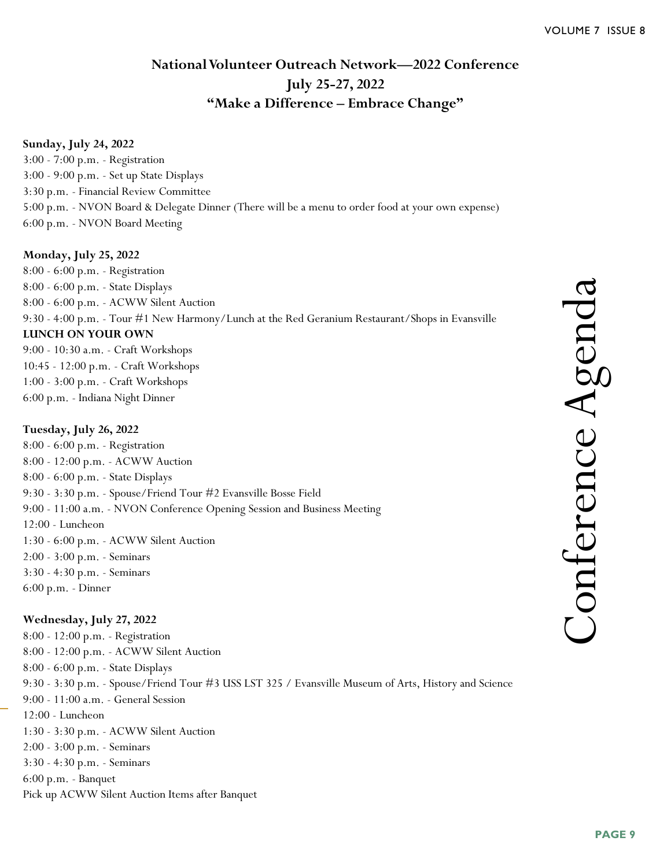### **National Volunteer Outreach Network—2022 Conference July 25-27, 2022 "Make a Difference – Embrace Change"**

### **Sunday, July 24, 2022**

3:00 - 7:00 p.m. - Registration 3:00 - 9:00 p.m. - Set up State Displays 3:30 p.m. - Financial Review Committee 5:00 p.m. - NVON Board & Delegate Dinner (There will be a menu to order food at your own expense) 6:00 p.m. - NVON Board Meeting

#### **Monday, July 25, 2022**

8:00 - 6:00 p.m. - Registration 8:00 - 6:00 p.m. - State Displays 8:00 - 6:00 p.m. - ACWW Silent Auction 9:30 - 4:00 p.m. - Tour #1 New Harmony/Lunch at the Red Geranium Restaurant/Shops in Evansville **LUNCH ON YOUR OWN** 9:00 - 10:30 a.m. - Craft Workshops 10:45 - 12:00 p.m. - Craft Workshops 1:00 - 3:00 p.m. - Craft Workshops

6:00 p.m. - Indiana Night Dinner

#### **Tuesday, July 26, 2022**

8:00 - 6:00 p.m. - Registration 8:00 - 12:00 p.m. - ACWW Auction 8:00 - 6:00 p.m. - State Displays 9:30 - 3:30 p.m. - Spouse/Friend Tour #2 Evansville Bosse Field 9:00 - 11:00 a.m. - NVON Conference Opening Session and Business Meeting 12:00 - Luncheon 1:30 - 6:00 p.m. - ACWW Silent Auction 2:00 - 3:00 p.m. - Seminars 3:30 - 4:30 p.m. - Seminars 6:00 p.m. - Dinner

### **Wednesday, July 27, 2022**

8:00 - 12:00 p.m. - Registration 8:00 - 12:00 p.m. - ACWW Silent Auction 8:00 - 6:00 p.m. - State Displays 9:30 - 3:30 p.m. - Spouse/Friend Tour #3 USS LST 325 / Evansville Museum of Arts, History and Science 9:00 - 11:00 a.m. - General Session 12:00 - Luncheon 1:30 - 3:30 p.m. - ACWW Silent Auction 2:00 - 3:00 p.m. - Seminars 3:30 - 4:30 p.m. - Seminars 6:00 p.m. - Banquet Pick up ACWW Silent Auction Items after Banquet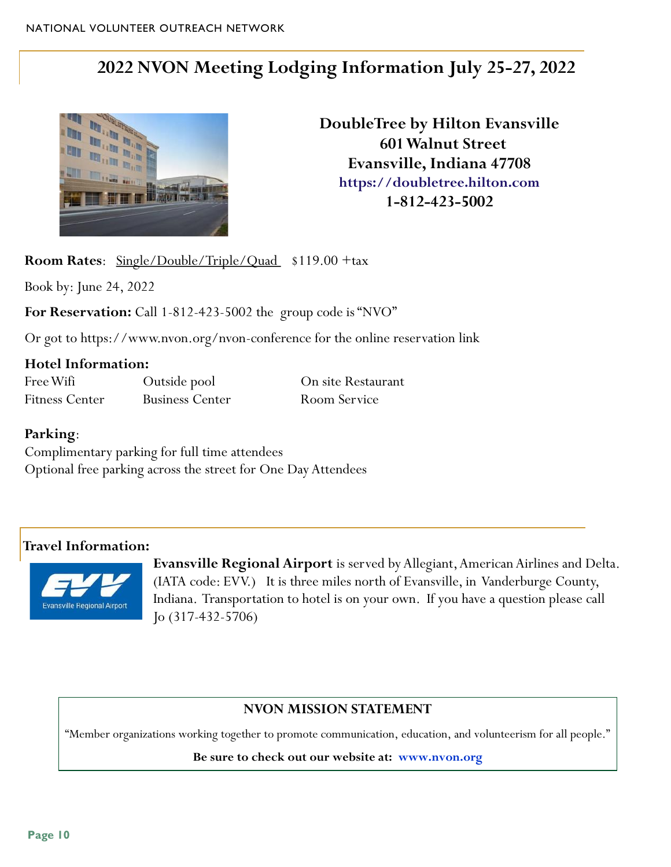# **2022 NVON Meeting Lodging Information July 25-27, 2022**



**DoubleTree by Hilton Evansville 601 Walnut Street Evansville, Indiana 47708 [https://doubletree.hilton.com](https://nam02.safelinks.protection.outlook.com/?url=https%3A%2F%2Fdoubletree.hilton.com%2Fen%2Fdt%2Fgroups%2Fpersonalized%2FE%2FEVVEDDT-NVO-20220721%2Findex.jhtml%3FWT.mc_id%3DPOG&data=04|01|MELINDA.STINE%40hilton.com|fa81ef0b7a4e48f741cb08d952893390|660292d2) 1-812-423-5002** 

**Room Rates**: <u>Single/Double/Triple/Quad</u> \$119.00 +tax

Book by: June 24, 2022

**For Reservation:** Call 1-812-423-5002 the group code is "NVO"

Or got to https://www.nvon.org/nvon-conference for the online reservation link

### **Hotel Information:**

Free Wifi Cutside pool On site Restaurant Fitness Center Business Center Room Service

### **Parking**:

Complimentary parking for full time attendees Optional free parking across the street for One Day Attendees

### **Travel Information:**



**Evansville Regional Airport** is served by Allegiant, American Airlines and Delta. (IATA code: EVV.) It is three miles north of Evansville, in Vanderburge County, Indiana. Transportation to hotel is on your own. If you have a question please call Jo (317-432-5706)

### **NVON MISSION STATEMENT**

"Member organizations working together to promote communication, education, and volunteerism for all people."

**Be sure to check out our website at: www.nvon.org**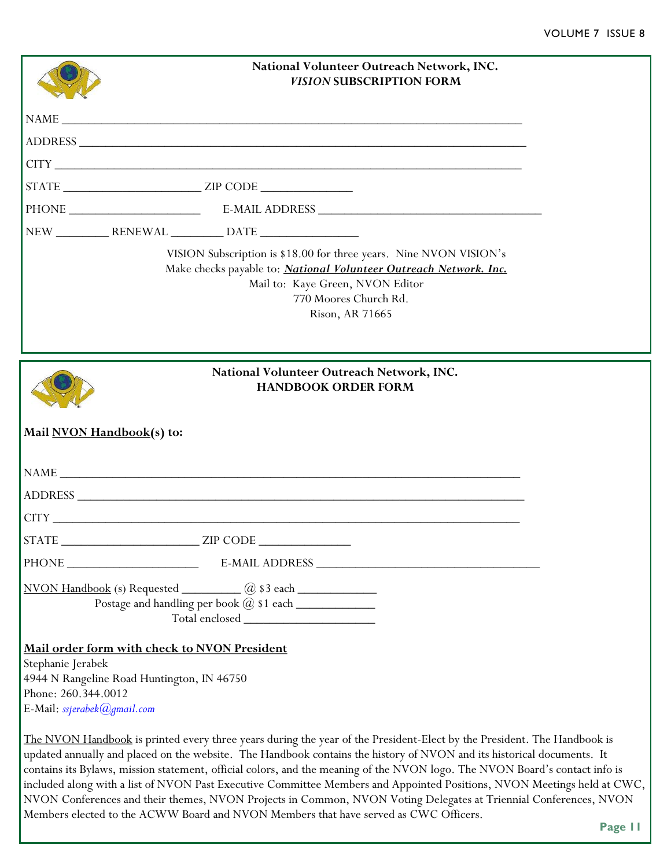|                                                                         | National Volunteer Outreach Network, INC.<br><b>VISION SUBSCRIPTION FORM</b>                                                                                                                                                                                                                                                                                                                                                                                                                                                                                                                                                    |  |
|-------------------------------------------------------------------------|---------------------------------------------------------------------------------------------------------------------------------------------------------------------------------------------------------------------------------------------------------------------------------------------------------------------------------------------------------------------------------------------------------------------------------------------------------------------------------------------------------------------------------------------------------------------------------------------------------------------------------|--|
|                                                                         | NAME                                                                                                                                                                                                                                                                                                                                                                                                                                                                                                                                                                                                                            |  |
|                                                                         |                                                                                                                                                                                                                                                                                                                                                                                                                                                                                                                                                                                                                                 |  |
|                                                                         |                                                                                                                                                                                                                                                                                                                                                                                                                                                                                                                                                                                                                                 |  |
|                                                                         |                                                                                                                                                                                                                                                                                                                                                                                                                                                                                                                                                                                                                                 |  |
|                                                                         |                                                                                                                                                                                                                                                                                                                                                                                                                                                                                                                                                                                                                                 |  |
|                                                                         |                                                                                                                                                                                                                                                                                                                                                                                                                                                                                                                                                                                                                                 |  |
|                                                                         | VISION Subscription is \$18.00 for three years. Nine NVON VISION's<br>Make checks payable to: National Volunteer Outreach Network. Inc.<br>Mail to: Kaye Green, NVON Editor<br>770 Moores Church Rd.<br>Rison, AR 71665                                                                                                                                                                                                                                                                                                                                                                                                         |  |
|                                                                         | National Volunteer Outreach Network, INC.<br><b>HANDBOOK ORDER FORM</b><br>Mail NVON Handbook(s) to:                                                                                                                                                                                                                                                                                                                                                                                                                                                                                                                            |  |
|                                                                         |                                                                                                                                                                                                                                                                                                                                                                                                                                                                                                                                                                                                                                 |  |
|                                                                         |                                                                                                                                                                                                                                                                                                                                                                                                                                                                                                                                                                                                                                 |  |
|                                                                         | CITY THE CITY CONTROL OF THE CITY OF THE CITY OF THE CITY OF THE CITY OF THE CITY OF THE CITY OF THE CITY OF THE CITY OF THE CITY OF THE CITY OF THE CITY OF THE CITY OF THE CITY OF THE CITY OF THE CITY OF THE CITY OF THE C                                                                                                                                                                                                                                                                                                                                                                                                  |  |
| <b>STATE</b>                                                            | <b>ZIP CODE</b>                                                                                                                                                                                                                                                                                                                                                                                                                                                                                                                                                                                                                 |  |
|                                                                         |                                                                                                                                                                                                                                                                                                                                                                                                                                                                                                                                                                                                                                 |  |
|                                                                         | $\overline{\text{NVON Handbook}}$ (s) Requested $\overline{\hspace{1cm}}$ ( $\overline{a}$ ) \$3 each $\overline{\hspace{1cm}}$                                                                                                                                                                                                                                                                                                                                                                                                                                                                                                 |  |
|                                                                         | Postage and handling per book @ \$1 each ______________                                                                                                                                                                                                                                                                                                                                                                                                                                                                                                                                                                         |  |
|                                                                         | Mail order form with check to NVON President                                                                                                                                                                                                                                                                                                                                                                                                                                                                                                                                                                                    |  |
| Stephanie Jerabek<br>Phone: 260.344.0012<br>E-Mail: ssjerabek@gmail.com | 4944 N Rangeline Road Huntington, IN 46750                                                                                                                                                                                                                                                                                                                                                                                                                                                                                                                                                                                      |  |
|                                                                         | The NVON Handbook is printed every three years during the year of the President-Elect by the President. The Handbook is<br>updated annually and placed on the website. The Handbook contains the history of NVON and its historical documents. It<br>contains its Bylaws, mission statement, official colors, and the meaning of the NVON logo. The NVON Board's contact info is<br>included along with a list of NVON Past Executive Committee Members and Appointed Positions, NVON Meetings held at CWC,<br>NVON Conferences and their themes, NVON Projects in Common, NVON Voting Delegates at Triennial Conferences, NVON |  |

Members elected to the ACWW Board and NVON Members that have served as CWC Officers.